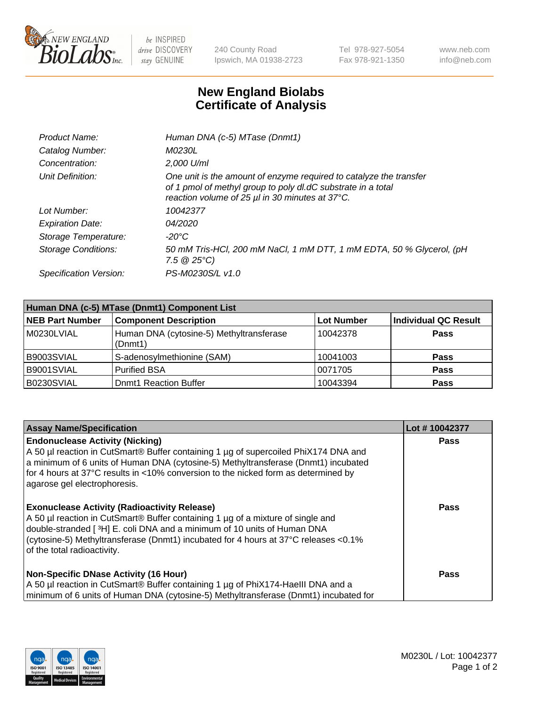

 $be$  INSPIRED drive DISCOVERY stay GENUINE

240 County Road Ipswich, MA 01938-2723 Tel 978-927-5054 Fax 978-921-1350 www.neb.com info@neb.com

## **New England Biolabs Certificate of Analysis**

| Product Name:              | Human DNA (c-5) MTase (Dnmt1)                                                                                                                                                         |
|----------------------------|---------------------------------------------------------------------------------------------------------------------------------------------------------------------------------------|
| Catalog Number:            | <i>M0230L</i>                                                                                                                                                                         |
| Concentration:             | 2,000 U/ml                                                                                                                                                                            |
| Unit Definition:           | One unit is the amount of enzyme required to catalyze the transfer<br>of 1 pmol of methyl group to poly dl.dC substrate in a total<br>reaction volume of 25 µl in 30 minutes at 37°C. |
| Lot Number:                | 10042377                                                                                                                                                                              |
| <b>Expiration Date:</b>    | <i>04/2020</i>                                                                                                                                                                        |
| Storage Temperature:       | -20°C                                                                                                                                                                                 |
| <b>Storage Conditions:</b> | 50 mM Tris-HCl, 200 mM NaCl, 1 mM DTT, 1 mM EDTA, 50 % Glycerol, (pH<br>$7.5 \circ 25^{\circ}C$                                                                                       |
| Specification Version:     | PS-M0230S/L v1.0                                                                                                                                                                      |

| Human DNA (c-5) MTase (Dnmt1) Component List |                                                     |                   |                      |  |  |
|----------------------------------------------|-----------------------------------------------------|-------------------|----------------------|--|--|
| <b>NEB Part Number</b>                       | <b>Component Description</b>                        | <b>Lot Number</b> | Individual QC Result |  |  |
| M0230LVIAL                                   | Human DNA (cytosine-5) Methyltransferase<br>(Dnmt1) | 10042378          | Pass                 |  |  |
| B9003SVIAL                                   | S-adenosylmethionine (SAM)                          | 10041003          | <b>Pass</b>          |  |  |
| B9001SVIAL                                   | <b>Purified BSA</b>                                 | 0071705           | <b>Pass</b>          |  |  |
| B0230SVIAL                                   | <b>Domt1 Reaction Buffer</b>                        | 10043394          | <b>Pass</b>          |  |  |

| <b>Assay Name/Specification</b>                                                                                                                                                                                                                                                                                                           | Lot #10042377 |
|-------------------------------------------------------------------------------------------------------------------------------------------------------------------------------------------------------------------------------------------------------------------------------------------------------------------------------------------|---------------|
| <b>Endonuclease Activity (Nicking)</b><br>A 50 µl reaction in CutSmart® Buffer containing 1 µg of supercoiled PhiX174 DNA and<br>a minimum of 6 units of Human DNA (cytosine-5) Methyltransferase (Dnmt1) incubated<br>for 4 hours at 37°C results in <10% conversion to the nicked form as determined by<br>agarose gel electrophoresis. | Pass          |
| <b>Exonuclease Activity (Radioactivity Release)</b><br>A 50 µl reaction in CutSmart® Buffer containing 1 µg of a mixture of single and<br>double-stranded [3H] E. coli DNA and a minimum of 10 units of Human DNA<br>(cytosine-5) Methyltransferase (Dnmt1) incubated for 4 hours at 37°C releases <0.1%<br>of the total radioactivity.   | <b>Pass</b>   |
| <b>Non-Specific DNase Activity (16 Hour)</b><br>A 50 µl reaction in CutSmart® Buffer containing 1 µg of PhiX174-HaellI DNA and a<br>minimum of 6 units of Human DNA (cytosine-5) Methyltransferase (Dnmt1) incubated for                                                                                                                  | <b>Pass</b>   |